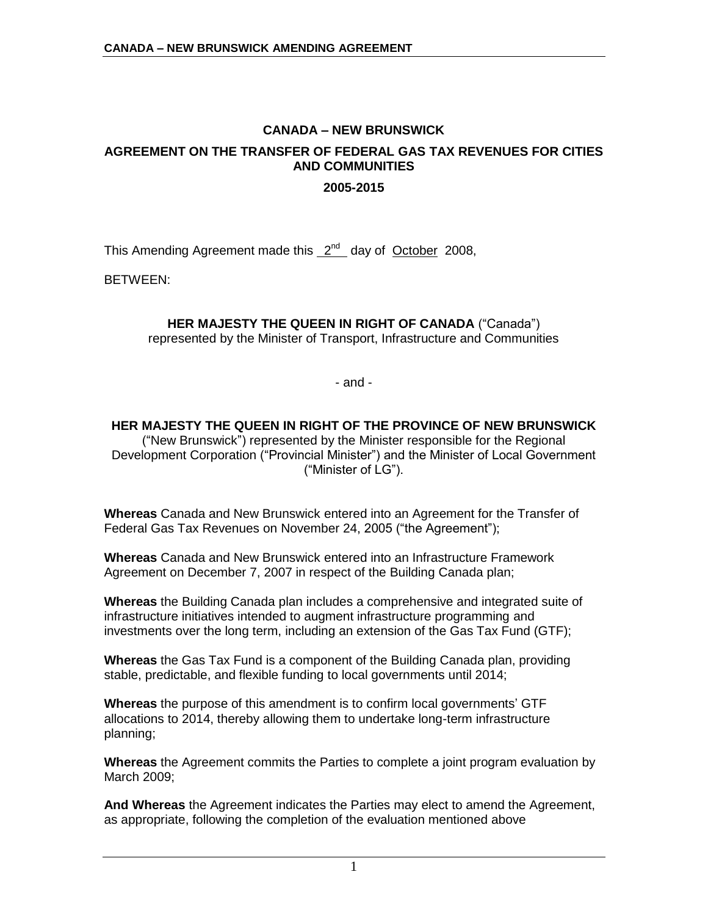## **CANADA – NEW BRUNSWICK**

# **AGREEMENT ON THE TRANSFER OF FEDERAL GAS TAX REVENUES FOR CITIES AND COMMUNITIES**

#### **2005-2015**

This Amending Agreement made this 2<sup>nd</sup> day of October 2008,

BETWEEN:

# **HER MAJESTY THE QUEEN IN RIGHT OF CANADA** ("Canada")

represented by the Minister of Transport, Infrastructure and Communities

- and -

## **HER MAJESTY THE QUEEN IN RIGHT OF THE PROVINCE OF NEW BRUNSWICK**

("New Brunswick") represented by the Minister responsible for the Regional Development Corporation ("Provincial Minister") and the Minister of Local Government ("Minister of LG").

**Whereas** Canada and New Brunswick entered into an Agreement for the Transfer of Federal Gas Tax Revenues on November 24, 2005 ("the Agreement");

**Whereas** Canada and New Brunswick entered into an Infrastructure Framework Agreement on December 7, 2007 in respect of the Building Canada plan;

**Whereas** the Building Canada plan includes a comprehensive and integrated suite of infrastructure initiatives intended to augment infrastructure programming and investments over the long term, including an extension of the Gas Tax Fund (GTF);

**Whereas** the Gas Tax Fund is a component of the Building Canada plan, providing stable, predictable, and flexible funding to local governments until 2014;

**Whereas** the purpose of this amendment is to confirm local governments' GTF allocations to 2014, thereby allowing them to undertake long-term infrastructure planning;

**Whereas** the Agreement commits the Parties to complete a joint program evaluation by March 2009;

**And Whereas** the Agreement indicates the Parties may elect to amend the Agreement, as appropriate, following the completion of the evaluation mentioned above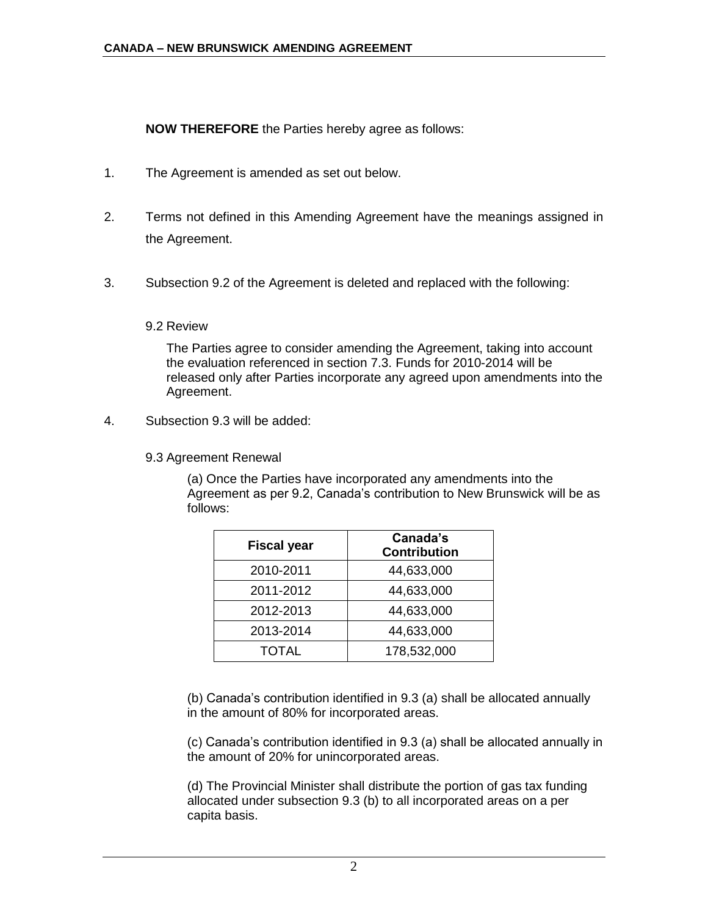**NOW THEREFORE** the Parties hereby agree as follows:

- 1. The Agreement is amended as set out below.
- 2. Terms not defined in this Amending Agreement have the meanings assigned in the Agreement.
- 3. Subsection 9.2 of the Agreement is deleted and replaced with the following:

### 9.2 Review

The Parties agree to consider amending the Agreement, taking into account the evaluation referenced in section 7.3. Funds for 2010-2014 will be released only after Parties incorporate any agreed upon amendments into the Agreement.

4. Subsection 9.3 will be added:

9.3 Agreement Renewal

(a) Once the Parties have incorporated any amendments into the Agreement as per 9.2, Canada's contribution to New Brunswick will be as follows:

| <b>Fiscal year</b> | Canada's<br><b>Contribution</b> |
|--------------------|---------------------------------|
| 2010-2011          | 44,633,000                      |
| 2011-2012          | 44,633,000                      |
| 2012-2013          | 44,633,000                      |
| 2013-2014          | 44,633,000                      |
| <b>TOTAL</b>       | 178,532,000                     |

(b) Canada's contribution identified in 9.3 (a) shall be allocated annually in the amount of 80% for incorporated areas.

(c) Canada's contribution identified in 9.3 (a) shall be allocated annually in the amount of 20% for unincorporated areas.

(d) The Provincial Minister shall distribute the portion of gas tax funding allocated under subsection 9.3 (b) to all incorporated areas on a per capita basis.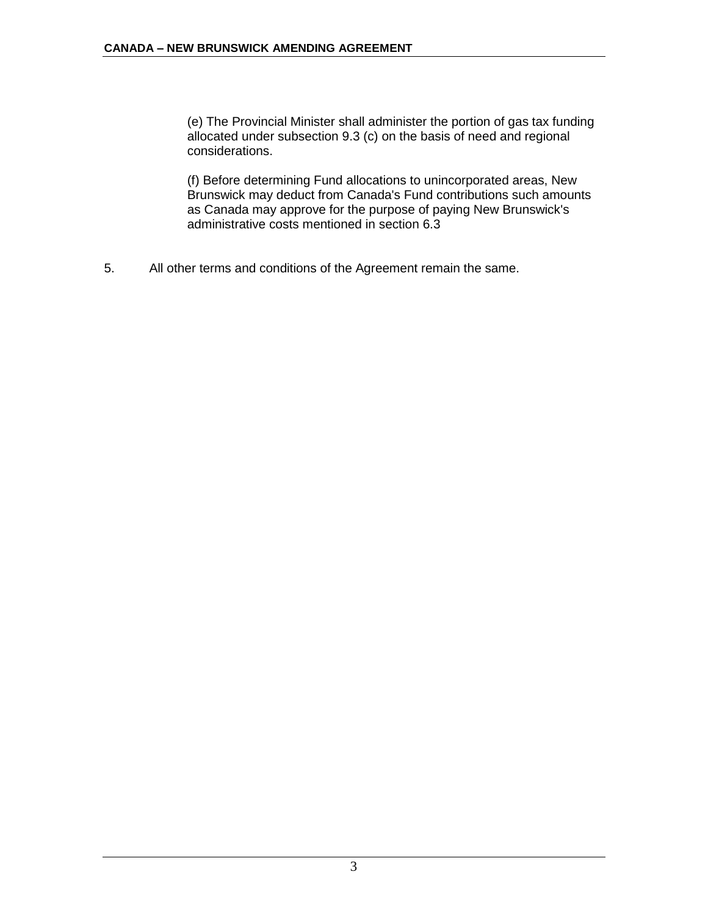(e) The Provincial Minister shall administer the portion of gas tax funding allocated under subsection 9.3 (c) on the basis of need and regional considerations.

(f) Before determining Fund allocations to unincorporated areas, New Brunswick may deduct from Canada's Fund contributions such amounts as Canada may approve for the purpose of paying New Brunswick's administrative costs mentioned in section 6.3

5. All other terms and conditions of the Agreement remain the same.